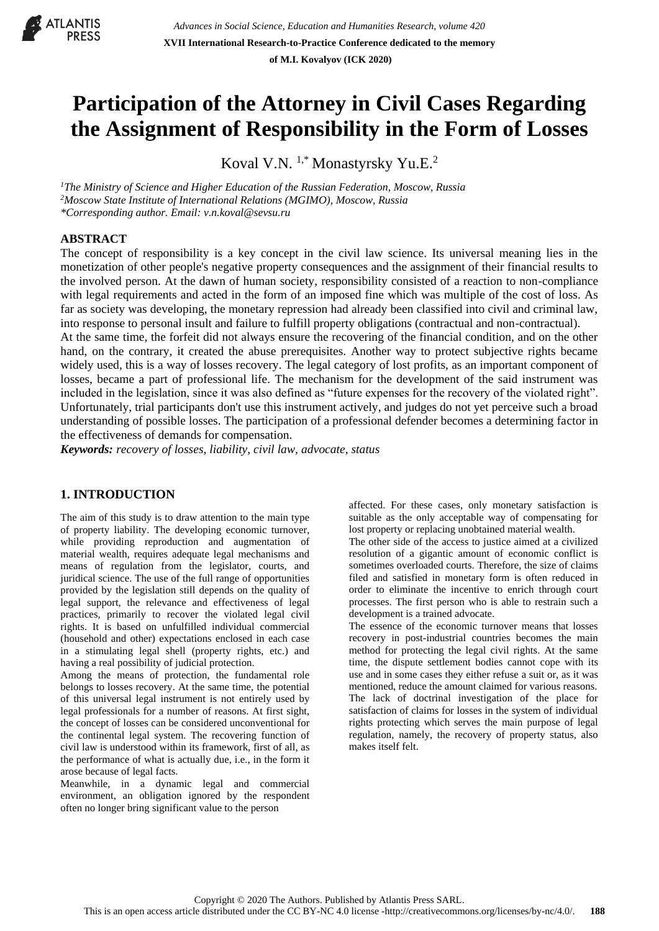

# **Participation of the Attorney in Civil Cases Regarding the Assignment of Responsibility in the Form of Losses**

Koval V.N.<sup>1,\*</sup> Monastyrsky Yu.E.<sup>2</sup>

*<sup>1</sup>The Ministry of Science and Higher Education of the Russian Federation, Moscow, Russia <sup>2</sup>Moscow State Institute of International Relations (MGIMO), Moscow, Russia \*Corresponding author. Email: v.n.koval@sevsu.ru*

# **ABSTRACT**

The concept of responsibility is a key concept in the civil law science. Its universal meaning lies in the monetization of other people's negative property consequences and the assignment of their financial results to the involved person. At the dawn of human society, responsibility consisted of a reaction to non-compliance with legal requirements and acted in the form of an imposed fine which was multiple of the cost of loss. As far as society was developing, the monetary repression had already been classified into civil and criminal law, into response to personal insult and failure to fulfill property obligations (contractual and non-contractual).

At the same time, the forfeit did not always ensure the recovering of the financial condition, and on the other hand, on the contrary, it created the abuse prerequisites. Another way to protect subjective rights became widely used, this is a way of losses recovery. The legal category of lost profits, as an important component of losses, became a part of professional life. The mechanism for the development of the said instrument was included in the legislation, since it was also defined as "future expenses for the recovery of the violated right". Unfortunately, trial participants don't use this instrument actively, and judges do not yet perceive such a broad understanding of possible losses. The participation of a professional defender becomes a determining factor in the effectiveness of demands for compensation.

*Keywords: recovery of losses, liability, civil law, advocate, status*

# **1. INTRODUCTION**

The aim of this study is to draw attention to the main type of property liability. The developing economic turnover, while providing reproduction and augmentation of material wealth, requires adequate legal mechanisms and means of regulation from the legislator, courts, and juridical science. The use of the full range of opportunities provided by the legislation still depends on the quality of legal support, the relevance and effectiveness of legal practices, primarily to recover the violated legal civil rights. It is based on unfulfilled individual commercial (household and other) expectations enclosed in each case in a stimulating legal shell (property rights, etc.) and having a real possibility of judicial protection.

Among the means of protection, the fundamental role belongs to losses recovery. At the same time, the potential of this universal legal instrument is not entirely used by legal professionals for a number of reasons. At first sight, the concept of losses can be considered unconventional for the continental legal system. The recovering function of civil law is understood within its framework, first of all, as the performance of what is actually due, i.e., in the form it arose because of legal facts.

Meanwhile, in a dynamic legal and commercial environment, an obligation ignored by the respondent often no longer bring significant value to the person

affected. For these cases, only monetary satisfaction is suitable as the only acceptable way of compensating for lost property or replacing unobtained material wealth.

The other side of the access to justice aimed at a civilized resolution of a gigantic amount of economic conflict is sometimes overloaded courts. Therefore, the size of claims filed and satisfied in monetary form is often reduced in order to eliminate the incentive to enrich through court processes. The first person who is able to restrain such a development is a trained advocate.

The essence of the economic turnover means that losses recovery in post-industrial countries becomes the main method for protecting the legal civil rights. At the same time, the dispute settlement bodies cannot cope with its use and in some cases they either refuse a suit or, as it was mentioned, reduce the amount claimed for various reasons. The lack of doctrinal investigation of the place for satisfaction of claims for losses in the system of individual rights protecting which serves the main purpose of legal regulation, namely, the recovery of property status, also makes itself felt.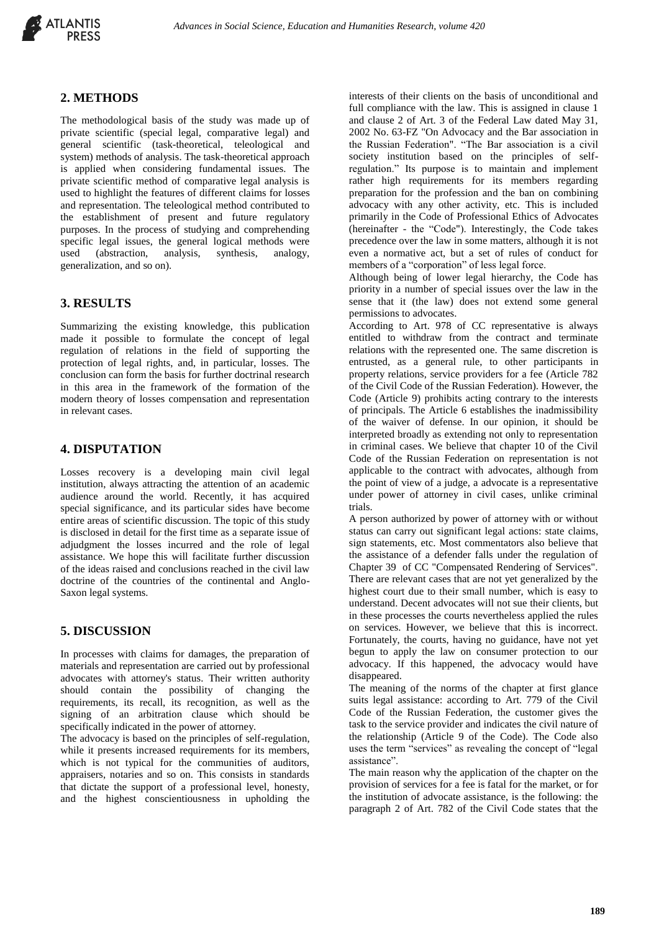

## **2. METHODS**

The methodological basis of the study was made up of private scientific (special legal, comparative legal) and general scientific (task-theoretical, teleological and system) methods of analysis. The task-theoretical approach is applied when considering fundamental issues. The private scientific method of comparative legal analysis is used to highlight the features of different claims for losses and representation. The teleological method contributed to the establishment of present and future regulatory purposes. In the process of studying and comprehending specific legal issues, the general logical methods were used (abstraction, analysis, synthesis, analogy, generalization, and so on).

## **3. RESULTS**

Summarizing the existing knowledge, this publication made it possible to formulate the concept of legal regulation of relations in the field of supporting the protection of legal rights, and, in particular, losses. The conclusion can form the basis for further doctrinal research in this area in the framework of the formation of the modern theory of losses compensation and representation in relevant cases.

#### **4. DISPUTATION**

Losses recovery is a developing main civil legal institution, always attracting the attention of an academic audience around the world. Recently, it has acquired special significance, and its particular sides have become entire areas of scientific discussion. The topic of this study is disclosed in detail for the first time as a separate issue of adjudgment the losses incurred and the role of legal assistance. We hope this will facilitate further discussion of the ideas raised and conclusions reached in the civil law doctrine of the countries of the continental and Anglo-Saxon legal systems.

## **5. DISCUSSION**

In processes with claims for damages, the preparation of materials and representation are carried out by professional advocates with attorney's status. Their written authority should contain the possibility of changing the requirements, its recall, its recognition, as well as the signing of an arbitration clause which should be specifically indicated in the power of attorney.

The advocacy is based on the principles of self-regulation, while it presents increased requirements for its members, which is not typical for the communities of auditors, appraisers, notaries and so on. This consists in standards that dictate the support of a professional level, honesty, and the highest conscientiousness in upholding the

interests of their clients on the basis of unconditional and full compliance with the law. This is assigned in clause 1 and clause 2 of Art. 3 of the Federal Law dated May 31, 2002 No. 63-FZ "On Advocacy and the Bar association in the Russian Federation". "The Bar association is a civil society institution based on the principles of selfregulation." Its purpose is to maintain and implement rather high requirements for its members regarding preparation for the profession and the ban on combining advocacy with any other activity, etc. This is included primarily in the Code of Professional Ethics of Advocates (hereinafter - the "Code"). Interestingly, the Code takes precedence over the law in some matters, although it is not even a normative act, but a set of rules of conduct for members of a "corporation" of less legal force.

Although being of lower legal hierarchy, the Code has priority in a number of special issues over the law in the sense that it (the law) does not extend some general permissions to advocates.

According to Art. 978 of CC representative is always entitled to withdraw from the contract and terminate relations with the represented one. The same discretion is entrusted, as a general rule, to other participants in property relations, service providers for a fee (Article 782 of the Civil Code of the Russian Federation). However, the Code (Article 9) prohibits acting contrary to the interests of principals. The Article 6 establishes the inadmissibility of the waiver of defense. In our opinion, it should be interpreted broadly as extending not only to representation in criminal cases. We believe that chapter 10 of the Civil Code of the Russian Federation on representation is not applicable to the contract with advocates, although from the point of view of a judge, a advocate is a representative under power of attorney in civil cases, unlike criminal trials.

A person authorized by power of attorney with or without status can carry out significant legal actions: state claims, sign statements, etc. Most commentators also believe that the assistance of a defender falls under the regulation of Chapter 39 of CC "Compensated Rendering of Services". There are relevant cases that are not yet generalized by the highest court due to their small number, which is easy to understand. Decent advocates will not sue their clients, but in these processes the courts nevertheless applied the rules on services. However, we believe that this is incorrect. Fortunately, the courts, having no guidance, have not yet begun to apply the law on consumer protection to our advocacy. If this happened, the advocacy would have disappeared.

The meaning of the norms of the chapter at first glance suits legal assistance: according to Art. 779 of the Civil Code of the Russian Federation, the customer gives the task to the service provider and indicates the civil nature of the relationship (Article 9 of the Code). The Code also uses the term "services" as revealing the concept of "legal assistance".

The main reason why the application of the chapter on the provision of services for a fee is fatal for the market, or for the institution of advocate assistance, is the following: the paragraph 2 of Art. 782 of the Civil Code states that the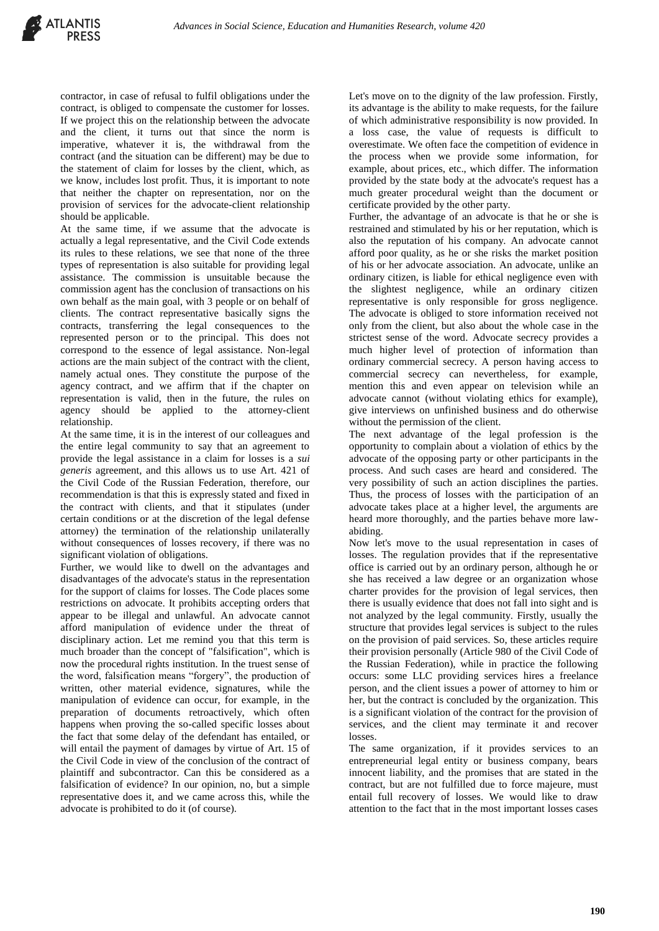contractor, in case of refusal to fulfil obligations under the contract, is obliged to compensate the customer for losses. If we project this on the relationship between the advocate and the client, it turns out that since the norm is imperative, whatever it is, the withdrawal from the contract (and the situation can be different) may be due to the statement of claim for losses by the client, which, as we know, includes lost profit. Thus, it is important to note that neither the chapter on representation, nor on the provision of services for the advocate-client relationship should be applicable.

At the same time, if we assume that the advocate is actually a legal representative, and the Civil Code extends its rules to these relations, we see that none of the three types of representation is also suitable for providing legal assistance. The commission is unsuitable because the commission agent has the conclusion of transactions on his own behalf as the main goal, with 3 people or on behalf of clients. The contract representative basically signs the contracts, transferring the legal consequences to the represented person or to the principal. This does not correspond to the essence of legal assistance. Non-legal actions are the main subject of the contract with the client, namely actual ones. They constitute the purpose of the agency contract, and we affirm that if the chapter on representation is valid, then in the future, the rules on agency should be applied to the attorney-client relationship.

At the same time, it is in the interest of our colleagues and the entire legal community to say that an agreement to provide the legal assistance in a claim for losses is a *sui generis* agreement, and this allows us to use Art. 421 of the Civil Code of the Russian Federation, therefore, our recommendation is that this is expressly stated and fixed in the contract with clients, and that it stipulates (under certain conditions or at the discretion of the legal defense attorney) the termination of the relationship unilaterally without consequences of losses recovery, if there was no significant violation of obligations.

Further, we would like to dwell on the advantages and disadvantages of the advocate's status in the representation for the support of claims for losses. The Code places some restrictions on advocate. It prohibits accepting orders that appear to be illegal and unlawful. An advocate cannot afford manipulation of evidence under the threat of disciplinary action. Let me remind you that this term is much broader than the concept of "falsification", which is now the procedural rights institution. In the truest sense of the word, falsification means "forgery", the production of written, other material evidence, signatures, while the manipulation of evidence can occur, for example, in the preparation of documents retroactively, which often happens when proving the so-called specific losses about the fact that some delay of the defendant has entailed, or will entail the payment of damages by virtue of Art. 15 of the Civil Code in view of the conclusion of the contract of plaintiff and subcontractor. Can this be considered as a falsification of evidence? In our opinion, no, but a simple representative does it, and we came across this, while the advocate is prohibited to do it (of course).

Let's move on to the dignity of the law profession. Firstly, its advantage is the ability to make requests, for the failure of which administrative responsibility is now provided. In a loss case, the value of requests is difficult to overestimate. We often face the competition of evidence in the process when we provide some information, for example, about prices, etc., which differ. The information provided by the state body at the advocate's request has a much greater procedural weight than the document or certificate provided by the other party.

Further, the advantage of an advocate is that he or she is restrained and stimulated by his or her reputation, which is also the reputation of his company. An advocate cannot afford poor quality, as he or she risks the market position of his or her advocate association. An advocate, unlike an ordinary citizen, is liable for ethical negligence even with the slightest negligence, while an ordinary citizen representative is only responsible for gross negligence. The advocate is obliged to store information received not only from the client, but also about the whole case in the strictest sense of the word. Advocate secrecy provides a much higher level of protection of information than ordinary commercial secrecy. A person having access to commercial secrecy can nevertheless, for example, mention this and even appear on television while an advocate cannot (without violating ethics for example), give interviews on unfinished business and do otherwise without the permission of the client.

The next advantage of the legal profession is the opportunity to complain about a violation of ethics by the advocate of the opposing party or other participants in the process. And such cases are heard and considered. The very possibility of such an action disciplines the parties. Thus, the process of losses with the participation of an advocate takes place at a higher level, the arguments are heard more thoroughly, and the parties behave more lawabiding.

Now let's move to the usual representation in cases of losses. The regulation provides that if the representative office is carried out by an ordinary person, although he or she has received a law degree or an organization whose charter provides for the provision of legal services, then there is usually evidence that does not fall into sight and is not analyzed by the legal community. Firstly, usually the structure that provides legal services is subject to the rules on the provision of paid services. So, these articles require their provision personally (Article 980 of the Civil Code of the Russian Federation), while in practice the following occurs: some LLC providing services hires a freelance person, and the client issues a power of attorney to him or her, but the contract is concluded by the organization. This is a significant violation of the contract for the provision of services, and the client may terminate it and recover losses.

The same organization, if it provides services to an entrepreneurial legal entity or business company, bears innocent liability, and the promises that are stated in the contract, but are not fulfilled due to force majeure, must entail full recovery of losses. We would like to draw attention to the fact that in the most important losses cases